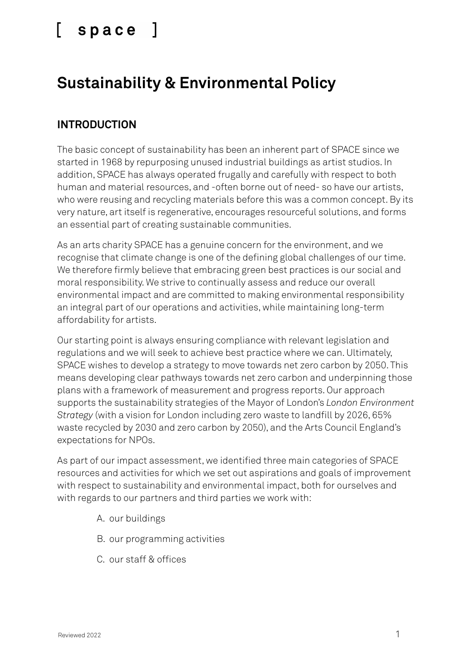### **Sustainability & Environmental Policy**

#### **INTRODUCTION**

The basic concept of sustainability has been an inherent part of SPACE since we started in 1968 by repurposing unused industrial buildings as artist studios. In addition, SPACE has always operated frugally and carefully with respect to both human and material resources, and -often borne out of need- so have our artists, who were reusing and recycling materials before this was a common concept. By its very nature, art itself is regenerative, encourages resourceful solutions, and forms an essential part of creating sustainable communities.

As an arts charity SPACE has a genuine concern for the environment, and we recognise that climate change is one of the defining global challenges of our time. We therefore firmly believe that embracing green best practices is our social and moral responsibility. We strive to continually assess and reduce our overall environmental impact and are committed to making environmental responsibility an integral part of our operations and activities, while maintaining long-term affordability for artists.

Our starting point is always ensuring compliance with relevant legislation and regulations and we will seek to achieve best practice where we can. Ultimately, SPACE wishes to develop a strategy to move towards net zero carbon by 2050. This means developing clear pathways towards net zero carbon and underpinning those plans with a framework of measurement and progress reports. Our approach supports the sustainability strategies of the Mayor of London's *London Environment Strategy* (with a vision for London including zero waste to landfill by 2026, 65% waste recycled by 2030 and zero carbon by 2050), and the Arts Council England's expectations for NPOs.

As part of our impact assessment, we identified three main categories of SPACE resources and activities for which we set out aspirations and goals of improvement with respect to sustainability and environmental impact, both for ourselves and with regards to our partners and third parties we work with:

- A. our buildings
- B. our programming activities
- C. our staff & offices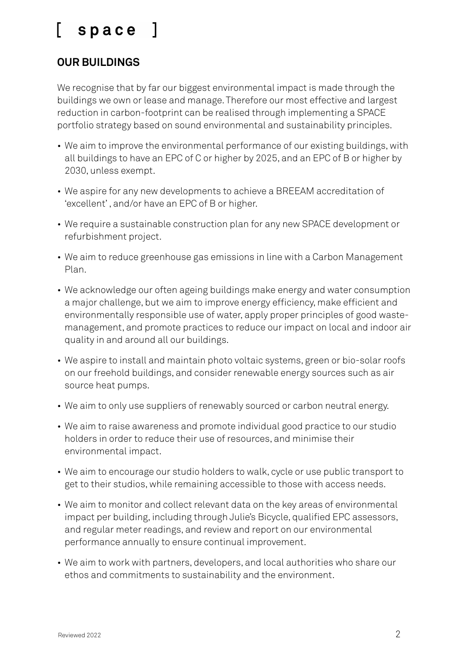### **OUR BUILDINGS**

We recognise that by far our biggest environmental impact is made through the buildings we own or lease and manage. Therefore our most effective and largest reduction in carbon-footprint can be realised through implementing a SPACE portfolio strategy based on sound environmental and sustainability principles.

- We aim to improve the environmental performance of our existing buildings, with all buildings to have an EPC of C or higher by 2025, and an EPC of B or higher by 2030, unless exempt.
- We aspire for any new developments to achieve a BREEAM accreditation of 'excellent' , and/or have an EPC of B or higher.
- We require a sustainable construction plan for any new SPACE development or refurbishment project.
- We aim to reduce greenhouse gas emissions in line with a Carbon Management Plan.
- We acknowledge our often ageing buildings make energy and water consumption a major challenge, but we aim to improve energy efficiency, make efficient and environmentally responsible use of water, apply proper principles of good wastemanagement, and promote practices to reduce our impact on local and indoor air quality in and around all our buildings.
- We aspire to install and maintain photo voltaic systems, green or bio-solar roofs on our freehold buildings, and consider renewable energy sources such as air source heat pumps.
- We aim to only use suppliers of renewably sourced or carbon neutral energy.
- We aim to raise awareness and promote individual good practice to our studio holders in order to reduce their use of resources, and minimise their environmental impact.
- We aim to encourage our studio holders to walk, cycle or use public transport to get to their studios, while remaining accessible to those with access needs.
- We aim to monitor and collect relevant data on the key areas of environmental impact per building, including through Julie's Bicycle, qualified EPC assessors, and regular meter readings, and review and report on our environmental performance annually to ensure continual improvement.
- We aim to work with partners, developers, and local authorities who share our ethos and commitments to sustainability and the environment.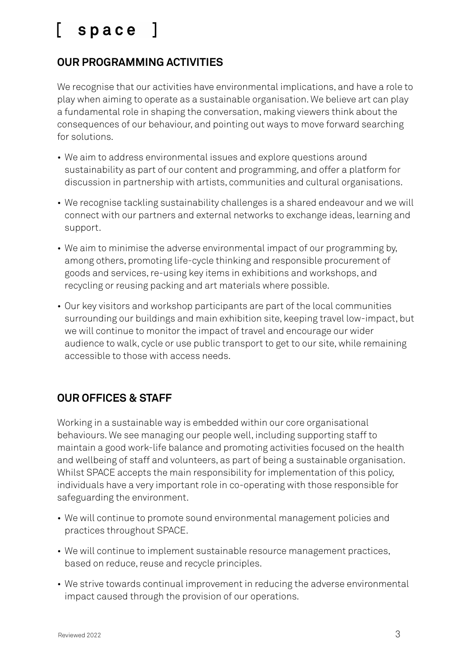### **OUR PROGRAMMING ACTIVITIES**

We recognise that our activities have environmental implications, and have a role to play when aiming to operate as a sustainable organisation. We believe art can play a fundamental role in shaping the conversation, making viewers think about the consequences of our behaviour, and pointing out ways to move forward searching for solutions.

- We aim to address environmental issues and explore questions around sustainability as part of our content and programming, and offer a platform for discussion in partnership with artists, communities and cultural organisations.
- We recognise tackling sustainability challenges is a shared endeavour and we will connect with our partners and external networks to exchange ideas, learning and support.
- We aim to minimise the adverse environmental impact of our programming by, among others, promoting life-cycle thinking and responsible procurement of goods and services, re-using key items in exhibitions and workshops, and recycling or reusing packing and art materials where possible.
- Our key visitors and workshop participants are part of the local communities surrounding our buildings and main exhibition site, keeping travel low-impact, but we will continue to monitor the impact of travel and encourage our wider audience to walk, cycle or use public transport to get to our site, while remaining accessible to those with access needs.

#### **OUR OFFICES & STAFF**

Working in a sustainable way is embedded within our core organisational behaviours. We see managing our people well, including supporting staff to maintain a good work-life balance and promoting activities focused on the health and wellbeing of staff and volunteers, as part of being a sustainable organisation. Whilst SPACE accepts the main responsibility for implementation of this policy, individuals have a very important role in co-operating with those responsible for safeguarding the environment.

- We will continue to promote sound environmental management policies and practices throughout SPACE.
- We will continue to implement sustainable resource management practices, based on reduce, reuse and recycle principles.
- We strive towards continual improvement in reducing the adverse environmental impact caused through the provision of our operations.